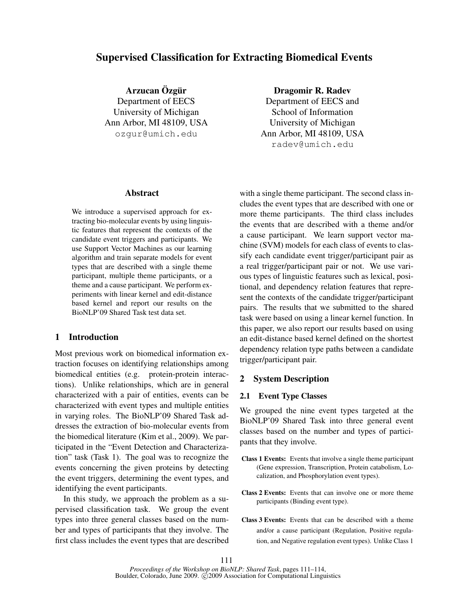# Supervised Classification for Extracting Biomedical Events

Arzucan Özgür Department of EECS University of Michigan Ann Arbor, MI 48109, USA ozgur@umich.edu

Dragomir R. Radev

Department of EECS and School of Information University of Michigan Ann Arbor, MI 48109, USA radev@umich.edu

#### Abstract

We introduce a supervised approach for extracting bio-molecular events by using linguistic features that represent the contexts of the candidate event triggers and participants. We use Support Vector Machines as our learning algorithm and train separate models for event types that are described with a single theme participant, multiple theme participants, or a theme and a cause participant. We perform experiments with linear kernel and edit-distance based kernel and report our results on the BioNLP'09 Shared Task test data set.

## 1 Introduction

Most previous work on biomedical information extraction focuses on identifying relationships among biomedical entities (e.g. protein-protein interactions). Unlike relationships, which are in general characterized with a pair of entities, events can be characterized with event types and multiple entities in varying roles. The BioNLP'09 Shared Task addresses the extraction of bio-molecular events from the biomedical literature (Kim et al., 2009). We participated in the "Event Detection and Characterization" task (Task 1). The goal was to recognize the events concerning the given proteins by detecting the event triggers, determining the event types, and identifying the event participants.

In this study, we approach the problem as a supervised classification task. We group the event types into three general classes based on the number and types of participants that they involve. The first class includes the event types that are described with a single theme participant. The second class includes the event types that are described with one or more theme participants. The third class includes the events that are described with a theme and/or a cause participant. We learn support vector machine (SVM) models for each class of events to classify each candidate event trigger/participant pair as a real trigger/participant pair or not. We use various types of linguistic features such as lexical, positional, and dependency relation features that represent the contexts of the candidate trigger/participant pairs. The results that we submitted to the shared task were based on using a linear kernel function. In this paper, we also report our results based on using an edit-distance based kernel defined on the shortest dependency relation type paths between a candidate trigger/participant pair.

## 2 System Description

### 2.1 Event Type Classes

We grouped the nine event types targeted at the BioNLP'09 Shared Task into three general event classes based on the number and types of participants that they involve.

- Class 1 Events: Events that involve a single theme participant (Gene expression, Transcription, Protein catabolism, Localization, and Phosphorylation event types).
- Class 2 Events: Events that can involve one or more theme participants (Binding event type).
- Class 3 Events: Events that can be described with a theme and/or a cause participant (Regulation, Positive regulation, and Negative regulation event types). Unlike Class 1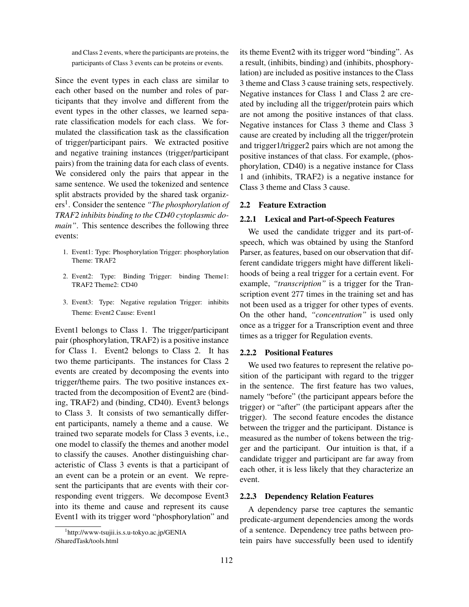and Class 2 events, where the participants are proteins, the participants of Class 3 events can be proteins or events.

Since the event types in each class are similar to each other based on the number and roles of participants that they involve and different from the event types in the other classes, we learned separate classification models for each class. We formulated the classification task as the classification of trigger/participant pairs. We extracted positive and negative training instances (trigger/participant pairs) from the training data for each class of events. We considered only the pairs that appear in the same sentence. We used the tokenized and sentence split abstracts provided by the shared task organizers<sup>1</sup> . Consider the sentence *"The phosphorylation of TRAF2 inhibits binding to the CD40 cytoplasmic domain"*. This sentence describes the following three events:

- 1. Event1: Type: Phosphorylation Trigger: phosphorylation Theme: TRAF2
- 2. Event2: Type: Binding Trigger: binding Theme1: TRAF2 Theme2: CD40
- 3. Event3: Type: Negative regulation Trigger: inhibits Theme: Event2 Cause: Event1

Event1 belongs to Class 1. The trigger/participant pair (phosphorylation, TRAF2) is a positive instance for Class 1. Event2 belongs to Class 2. It has two theme participants. The instances for Class 2 events are created by decomposing the events into trigger/theme pairs. The two positive instances extracted from the decomposition of Event2 are (binding, TRAF2) and (binding, CD40). Event3 belongs to Class 3. It consists of two semantically different participants, namely a theme and a cause. We trained two separate models for Class 3 events, i.e., one model to classify the themes and another model to classify the causes. Another distinguishing characteristic of Class 3 events is that a participant of an event can be a protein or an event. We represent the participants that are events with their corresponding event triggers. We decompose Event3 into its theme and cause and represent its cause Event1 with its trigger word "phosphorylation" and its theme Event2 with its trigger word "binding". As a result, (inhibits, binding) and (inhibits, phosphorylation) are included as positive instances to the Class 3 theme and Class 3 cause training sets, respectively. Negative instances for Class 1 and Class 2 are created by including all the trigger/protein pairs which are not among the positive instances of that class. Negative instances for Class 3 theme and Class 3 cause are created by including all the trigger/protein and trigger1/trigger2 pairs which are not among the positive instances of that class. For example, (phosphorylation, CD40) is a negative instance for Class 1 and (inhibits, TRAF2) is a negative instance for Class 3 theme and Class 3 cause.

#### 2.2 Feature Extraction

#### 2.2.1 Lexical and Part-of-Speech Features

We used the candidate trigger and its part-ofspeech, which was obtained by using the Stanford Parser, as features, based on our observation that different candidate triggers might have different likelihoods of being a real trigger for a certain event. For example, *"transcription"* is a trigger for the Transcription event 277 times in the training set and has not been used as a trigger for other types of events. On the other hand, *"concentration"* is used only once as a trigger for a Transcription event and three times as a trigger for Regulation events.

#### 2.2.2 Positional Features

We used two features to represent the relative position of the participant with regard to the trigger in the sentence. The first feature has two values, namely "before" (the participant appears before the trigger) or "after" (the participant appears after the trigger). The second feature encodes the distance between the trigger and the participant. Distance is measured as the number of tokens between the trigger and the participant. Our intuition is that, if a candidate trigger and participant are far away from each other, it is less likely that they characterize an event.

#### 2.2.3 Dependency Relation Features

A dependency parse tree captures the semantic predicate-argument dependencies among the words of a sentence. Dependency tree paths between protein pairs have successfully been used to identify

<sup>1</sup> http://www-tsujii.is.s.u-tokyo.ac.jp/GENIA /SharedTask/tools.html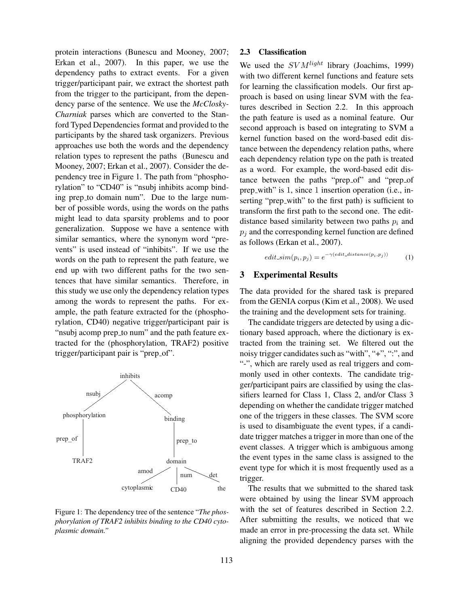protein interactions (Bunescu and Mooney, 2007; Erkan et al., 2007). In this paper, we use the dependency paths to extract events. For a given trigger/participant pair, we extract the shortest path from the trigger to the participant, from the dependency parse of the sentence. We use the *McClosky-Charniak* parses which are converted to the Stanford Typed Dependencies format and provided to the participants by the shared task organizers. Previous approaches use both the words and the dependency relation types to represent the paths (Bunescu and Mooney, 2007; Erkan et al., 2007). Consider the dependency tree in Figure 1. The path from "phosphorylation" to "CD40" is "nsubj inhibits acomp binding prep to domain num". Due to the large number of possible words, using the words on the paths might lead to data sparsity problems and to poor generalization. Suppose we have a sentence with similar semantics, where the synonym word "prevents" is used instead of "inhibits". If we use the words on the path to represent the path feature, we end up with two different paths for the two sentences that have similar semantics. Therefore, in this study we use only the dependency relation types among the words to represent the paths. For example, the path feature extracted for the (phosphorylation, CD40) negative trigger/participant pair is "nsubj acomp prep\_to num" and the path feature extracted for the (phosphorylation, TRAF2) positive trigger/participant pair is "prep\_of".



Figure 1: The dependency tree of the sentence "*The phosphorylation of TRAF2 inhibits binding to the CD40 cytoplasmic domain."*

#### 2.3 Classification

We used the  $SVM<sup>light</sup>$  library (Joachims, 1999) with two different kernel functions and feature sets for learning the classification models. Our first approach is based on using linear SVM with the features described in Section 2.2. In this approach the path feature is used as a nominal feature. Our second approach is based on integrating to SVM a kernel function based on the word-based edit distance between the dependency relation paths, where each dependency relation type on the path is treated as a word. For example, the word-based edit distance between the paths "prep of" and "prep of prep with" is 1, since 1 insertion operation (i.e., inserting "prep with" to the first path) is sufficient to transform the first path to the second one. The editdistance based similarity between two paths  $p_i$  and  $p_i$  and the corresponding kernel function are defined as follows (Erkan et al., 2007).

 $edit\_sim(p_i, p_j) = e^{-\gamma(edit\_distance(p_i, p_j))}$  (1)

#### 3 Experimental Results

The data provided for the shared task is prepared from the GENIA corpus (Kim et al., 2008). We used the training and the development sets for training.

The candidate triggers are detected by using a dictionary based approach, where the dictionary is extracted from the training set. We filtered out the noisy trigger candidates such as "with", "+", ":", and "-", which are rarely used as real triggers and commonly used in other contexts. The candidate trigger/participant pairs are classified by using the classifiers learned for Class 1, Class 2, and/or Class 3 depending on whether the candidate trigger matched one of the triggers in these classes. The SVM score is used to disambiguate the event types, if a candidate trigger matches a trigger in more than one of the event classes. A trigger which is ambiguous among the event types in the same class is assigned to the event type for which it is most frequently used as a trigger.

The results that we submitted to the shared task were obtained by using the linear SVM approach with the set of features described in Section 2.2. After submitting the results, we noticed that we made an error in pre-processing the data set. While aligning the provided dependency parses with the